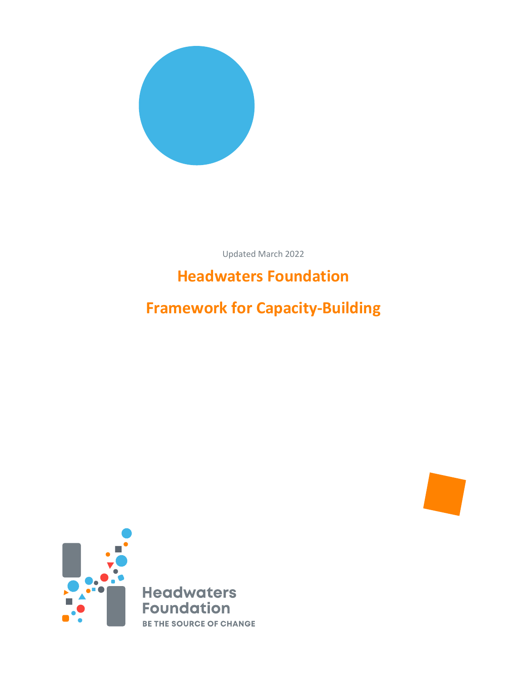

Updated March 2022

# **Headwaters Foundation**

**Framework for Capacity-Building**

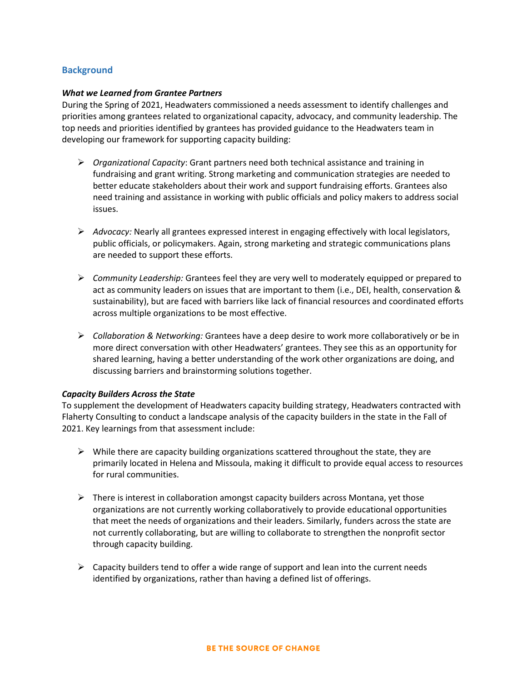## **Background**

#### *What we Learned from Grantee Partners*

During the Spring of 2021, Headwaters commissioned a needs assessment to identify challenges and priorities among grantees related to organizational capacity, advocacy, and community leadership. The top needs and priorities identified by grantees has provided guidance to the Headwaters team in developing our framework for supporting capacity building:

- *Organizational Capacity*: Grant partners need both technical assistance and training in fundraising and grant writing. Strong marketing and communication strategies are needed to better educate stakeholders about their work and support fundraising efforts. Grantees also need training and assistance in working with public officials and policy makers to address social issues.
- *Advocacy:* Nearly all grantees expressed interest in engaging effectively with local legislators, public officials, or policymakers. Again, strong marketing and strategic communications plans are needed to support these efforts.
- *Community Leadership:* Grantees feel they are very well to moderately equipped or prepared to act as community leaders on issues that are important to them (i.e., DEI, health, conservation & sustainability), but are faced with barriers like lack of financial resources and coordinated efforts across multiple organizations to be most effective.
- *Collaboration & Networking:* Grantees have a deep desire to work more collaboratively or be in more direct conversation with other Headwaters' grantees. They see this as an opportunity for shared learning, having a better understanding of the work other organizations are doing, and discussing barriers and brainstorming solutions together.

#### *Capacity Builders Across the State*

To supplement the development of Headwaters capacity building strategy, Headwaters contracted with Flaherty Consulting to conduct a landscape analysis of the capacity builders in the state in the Fall of 2021. Key learnings from that assessment include:

- $\triangleright$  While there are capacity building organizations scattered throughout the state, they are primarily located in Helena and Missoula, making it difficult to provide equal access to resources for rural communities.
- $\triangleright$  There is interest in collaboration amongst capacity builders across Montana, yet those organizations are not currently working collaboratively to provide educational opportunities that meet the needs of organizations and their leaders. Similarly, funders across the state are not currently collaborating, but are willing to collaborate to strengthen the nonprofit sector through capacity building.
- $\triangleright$  Capacity builders tend to offer a wide range of support and lean into the current needs identified by organizations, rather than having a defined list of offerings.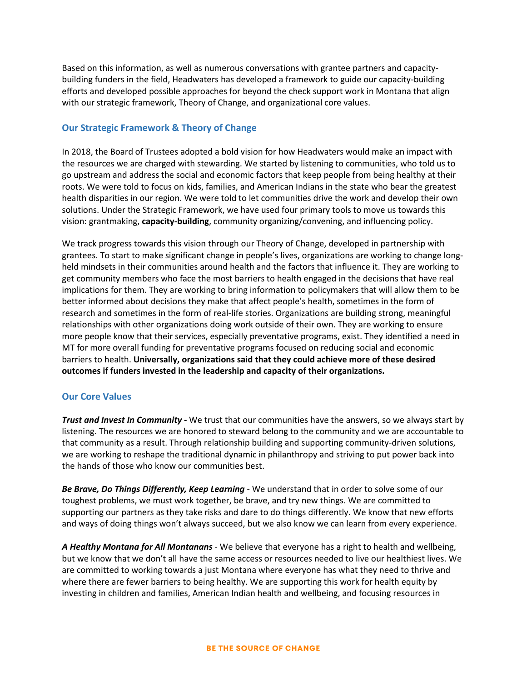Based on this information, as well as numerous conversations with grantee partners and capacitybuilding funders in the field, Headwaters has developed a framework to guide our capacity-building efforts and developed possible approaches for beyond the check support work in Montana that align with our strategic framework, Theory of Change, and organizational core values.

#### **Our Strategic Framework & Theory of Change**

In 2018, the Board of Trustees adopted a bold vision for how Headwaters would make an impact with the resources we are charged with stewarding. We started by listening to communities, who told us to go upstream and address the social and economic factors that keep people from being healthy at their roots. We were told to focus on kids, families, and American Indians in the state who bear the greatest health disparities in our region. We were told to let communities drive the work and develop their own solutions. Under the Strategic Framework, we have used four primary tools to move us towards this vision: grantmaking, **capacity-building**, community organizing/convening, and influencing policy.

We track progress towards this vision through our Theory of Change, developed in partnership with grantees. To start to make significant change in people's lives, organizations are working to change longheld mindsets in their communities around health and the factors that influence it. They are working to get community members who face the most barriers to health engaged in the decisions that have real implications for them. They are working to bring information to policymakers that will allow them to be better informed about decisions they make that affect people's health, sometimes in the form of research and sometimes in the form of real-life stories. Organizations are building strong, meaningful relationships with other organizations doing work outside of their own. They are working to ensure more people know that their services, especially preventative programs, exist. They identified a need in MT for more overall funding for preventative programs focused on reducing social and economic barriers to health. **Universally, organizations said that they could achieve more of these desired outcomes if funders invested in the leadership and capacity of their organizations.**

#### **Our Core Values**

*Trust and Invest In Community* **-** We trust that our communities have the answers, so we always start by listening. The resources we are honored to steward belong to the community and we are accountable to that community as a result. Through relationship building and supporting community-driven solutions, we are working to reshape the traditional dynamic in philanthropy and striving to put power back into the hands of those who know our communities best.

*Be Brave, Do Things Differently, Keep Learning* - We understand that in order to solve some of our toughest problems, we must work together, be brave, and try new things. We are committed to supporting our partners as they take risks and dare to do things differently. We know that new efforts and ways of doing things won't always succeed, but we also know we can learn from every experience.

*A Healthy Montana for All Montanans* - We believe that everyone has a right to health and wellbeing, but we know that we don't all have the same access or resources needed to live our healthiest lives. We are committed to working towards a just Montana where everyone has what they need to thrive and where there are fewer barriers to being healthy. We are supporting this work for health equity by investing in children and families, American Indian health and wellbeing, and focusing resources in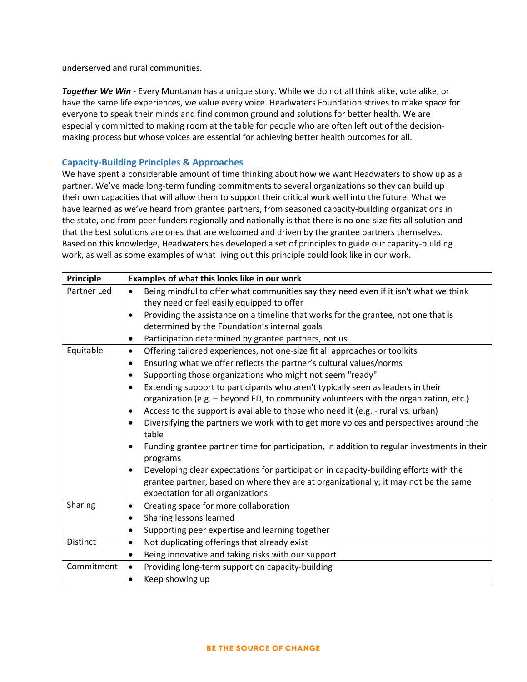underserved and rural communities.

*Together We Win* - Every Montanan has a unique story. While we do not all think alike, vote alike, or have the same life experiences, we value every voice. Headwaters Foundation strives to make space for everyone to speak their minds and find common ground and solutions for better health. We are especially committed to making room at the table for people who are often left out of the decisionmaking process but whose voices are essential for achieving better health outcomes for all.

## **Capacity-Building Principles & Approaches**

We have spent a considerable amount of time thinking about how we want Headwaters to show up as a partner. We've made long-term funding commitments to several organizations so they can build up their own capacities that will allow them to support their critical work well into the future. What we have learned as we've heard from grantee partners, from seasoned capacity-building organizations in the state, and from peer funders regionally and nationally is that there is no one-size fits all solution and that the best solutions are ones that are welcomed and driven by the grantee partners themselves. Based on this knowledge, Headwaters has developed a set of principles to guide our capacity-building work, as well as some examples of what living out this principle could look like in our work.

| Principle       | Examples of what this looks like in our work                                                                         |
|-----------------|----------------------------------------------------------------------------------------------------------------------|
| Partner Led     | Being mindful to offer what communities say they need even if it isn't what we think<br>$\bullet$                    |
|                 | they need or feel easily equipped to offer                                                                           |
|                 | Providing the assistance on a timeline that works for the grantee, not one that is<br>$\bullet$                      |
|                 | determined by the Foundation's internal goals                                                                        |
|                 | Participation determined by grantee partners, not us<br>$\bullet$                                                    |
| Equitable       | Offering tailored experiences, not one-size fit all approaches or toolkits<br>$\bullet$                              |
|                 | Ensuring what we offer reflects the partner's cultural values/norms<br>$\bullet$                                     |
|                 | Supporting those organizations who might not seem "ready"<br>$\bullet$                                               |
|                 | Extending support to participants who aren't typically seen as leaders in their<br>$\bullet$                         |
|                 | organization (e.g. - beyond ED, to community volunteers with the organization, etc.)                                 |
|                 | Access to the support is available to those who need it (e.g. - rural vs. urban)<br>$\bullet$                        |
|                 | Diversifying the partners we work with to get more voices and perspectives around the<br>$\bullet$                   |
|                 | table                                                                                                                |
|                 | Funding grantee partner time for participation, in addition to regular investments in their<br>$\bullet$<br>programs |
|                 | Developing clear expectations for participation in capacity-building efforts with the<br>$\bullet$                   |
|                 | grantee partner, based on where they are at organizationally; it may not be the same                                 |
|                 | expectation for all organizations                                                                                    |
| Sharing         | Creating space for more collaboration<br>$\bullet$                                                                   |
|                 | Sharing lessons learned<br>$\bullet$                                                                                 |
|                 | Supporting peer expertise and learning together<br>$\bullet$                                                         |
| <b>Distinct</b> | Not duplicating offerings that already exist<br>$\bullet$                                                            |
|                 | Being innovative and taking risks with our support<br>$\bullet$                                                      |
| Commitment      | Providing long-term support on capacity-building<br>$\bullet$                                                        |
|                 | Keep showing up<br>$\bullet$                                                                                         |